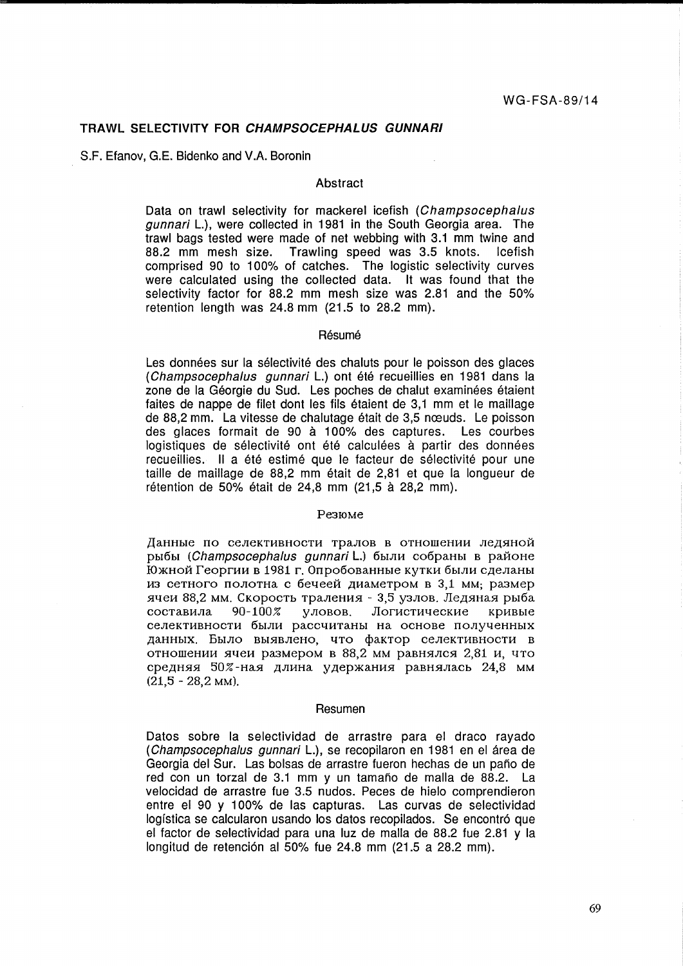### **TRAWL SELECTIVITY FOR CHAMPSOCEPHALUS GUNNARI**

S.F. Efanov, G.E. Bidenko and V.A. Boronin

## Abstract

Data on trawl selectivity for mackerel icefish (Champsocephalus gunnari L.), were collected in 1981 in the South Georgia area. The trawl bags tested were made of net webbing with 3.1 mm twine and 88.2 mm mesh size. Trawling speed was 3.5 knots. Icefish comprised 90 to 100% of catches. The logistic selectivity curves were calculated using the collected data. It was found that the selectivity factor for 88.2 mm mesh size was 2.81 and the 50% retention length was 24.8 mm (21.5 to 28.2 mm).

#### Résumé

Les données sur la sélectivité des chaluts pour le poisson des glaces (Champsocephalus gunnari L.) ont été recueillies en 1981 dans la zone de la Géorgie du Sud. Les poches de chalut examinées étaient faites de nappe de filet dont les fils etaient de 3,1 mm et le maillage de 88,2 mm. La vitesse de chalutage était de 3,5 nœuds. Le poisson des glaces formait de 90 a 100% des captures. Les courbes logistiques de sélectivité ont été calculées à partir des données recueillies. Il a été estimé que le facteur de sélectivité pour une taille de maillage de 88,2 mm etait de 2,81 et que la longueur de rétention de 50% était de 24.8 mm (21.5 à 28.2 mm).

#### Pe3IOMe

Данные по селективности тралов в отношении ледяной рыбы (Champsocephalus gunnari L.) были собраны в районе Южной Георгии в 1981 г. Опробованные кутки были сделаны из сетного полотна с бечеей диаметром в 3,1 мм; размер ячеи 88,2 мм. Скорость траления - 3,5 узлов. Ледяная рыба составила 90-100% уловов. Логистические кривые селективности были рассчитаны на основе полученных данных. Было выявлено, что фактор селективности в отношении ячеи размером в 88,2 мм равнялся 2,81 и, что средняя 50%-ная длина удержания равнялась 24,8 мм  $(21, 5 - 28, 2$  MM).

#### Resumen

Datos sobre la selectividad de arrastre para el draco rayado (Champsocephalus gunnari L.), se recopilaron en 1981 en el área de Georgia del Sur. Las bolsas de arrastre fueron hechas de un pano de red con un torzal de 3.1 mm y un tamaño de malla de 88.2. La velocidad de arrastre fue 3.5 nudos. Peces de hielo comprendieron entre el 90 y 100% de las capturas. Las curvas de selectividad logística se calcularon usando los datos recopilados. Se encontró que el factor de selectividad para una luz de malla de 88.2 fue 2.81 y la longitud de retención al 50% fue 24.8 mm (21.5 a 28.2 mm).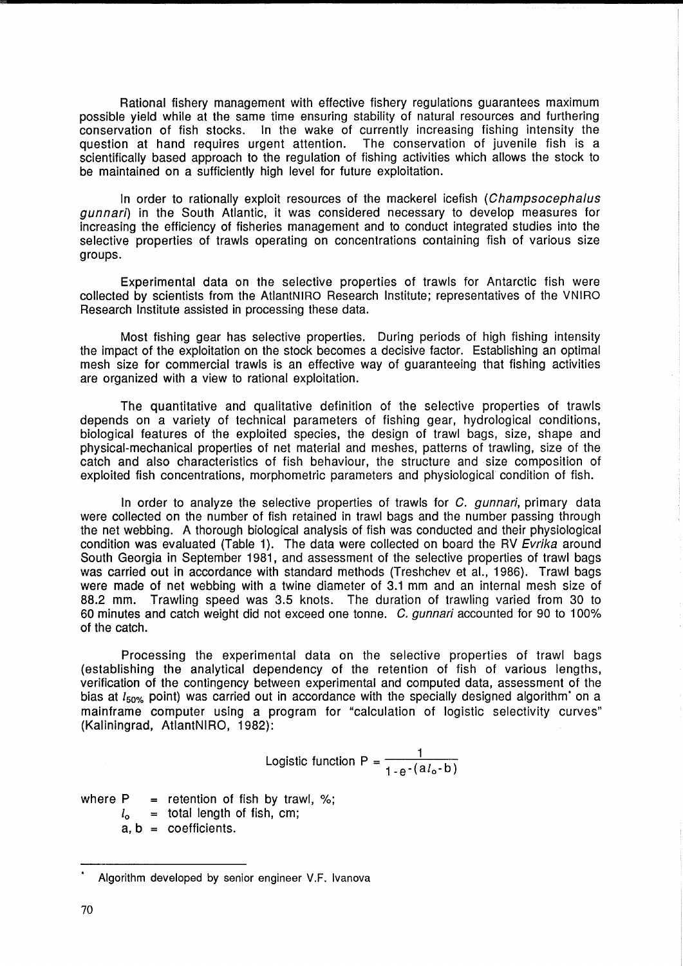Rational fishery management with effective fishery regulations guarantees maximum possible yield while at the same time ensuring stability of natural resources and furthering conservation of fish stocks. In the wake of currently increasing fishing intensity the question at hand requires urgent attention. The conservation of juvenile fish is a scientifically based approach to the regulation of fishing activities which allows the stock to be maintained on a sufficiently high level for future exploitation.

In order to rationally exploit resources of the mackerel icefish (Champsocephalus gunnari) in the South Atlantic, it was considered necessary to develop measures for increasing the efficiency of fisheries management and to conduct integrated studies into the selective properties of trawls operating on concentrations containing fish of various size groups.

Experimental data on the selective properties of trawls for Antarctic fish were collected by scientists from the AtlantNIRO Research Institute; representatives of the VNIRO Research Institute assisted in processing these data.

Most fishing gear has selective properties. During periods of high fishing intensity the impact of the exploitation on the stock becomes a decisive factor. Establishing an optimal mesh size for commercial trawls is an effective way of guaranteeing that fishing activities are organized with a view to rational exploitation.

The quantitative and qualitative definition of the selective properties of trawls depends on a variety of technical parameters of fishing gear, hydrological conditions, biological features of the exploited species, the design of trawl bags, size, shape and physical-mechanical properties of net material and meshes, patterns of trawling, size of the catch and also characteristics of fish behaviour, the structure and size composition of exploited fish concentrations, morphometric parameters and physiological condition of fish.

In order to analyze the selective properties of trawls for  $C$ , *qunnari*, primary data were collected on the number of fish retained in trawl bags and the number passing through the net webbing. A thorough biological analysis of fish was conducted and their physiological condition was evaluated (Table 1). The data were collected on board the RV Evrika around South Georgia in September 1981, and assessment of the selective properties of trawl bags was carried out in accordance with standard methods (Treshchev et al., 1986). Trawl bags were made of net webbing with a twine diameter of 3.1 mm and an internal mesh size of 88.2 mm. Trawling speed was 3.5 knots. The duration of trawling varied from 30 to 60 minutes and catch weight did not exceed one tonne. C. gunnari accounted for 90 to 100% of the catch.

Processing the experimental data on the selective properties of trawl bags (establishing the analytical dependency of the retention of fish of various lengths, verification of the contingency between experimental and computed data, assessment of the bias at  $l_{50\%}$  point) was carried out in accordance with the specially designed algorithm' on a mainframe computer using a program for "calculation of logistic selectivity curves" (Kaliningrad, AtlantNIRO, 1982):

Logistic function 
$$
P = \frac{1}{1-e^{-(a l_0 - b)}}
$$

where  $P =$  retention of fish by trawl, %;

 $l_0$  = total length of fish, cm;

 $a, b = coefficient.$ 

Algorithm developed by senior engineer V.F. Ivanova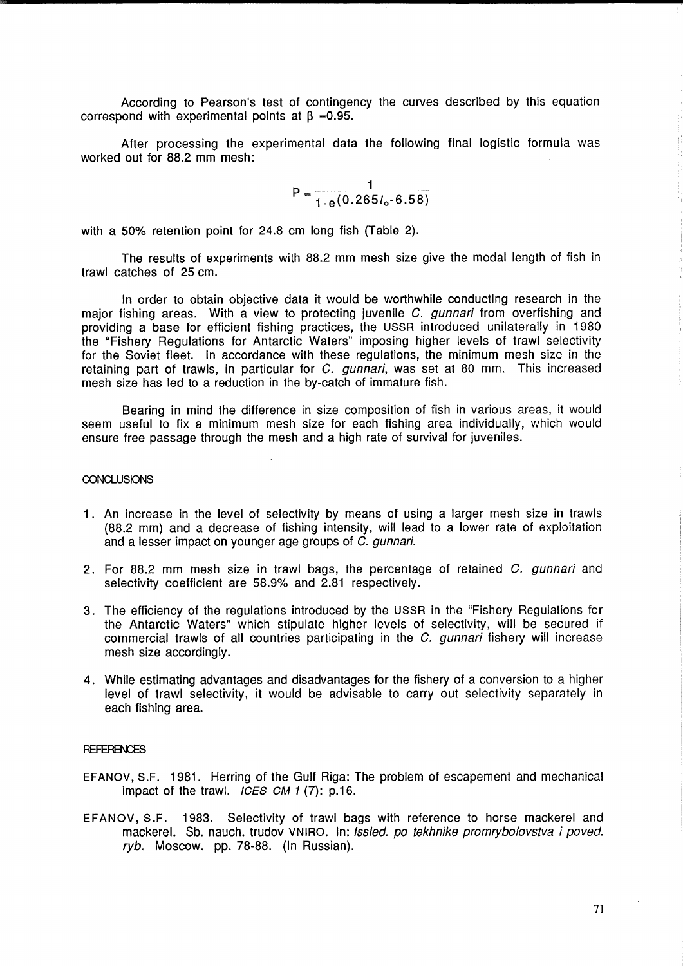According to Pearson's test of contingency the curves described by this equation correspond with experimental points at  $\beta = 0.95$ .

After processing the experimental data the following final logistic formula was worked out for 88.2 mm mesh:

> $P = \frac{1}{10.005}$  $1-e(0.265l_0 - 6.58)$

with a 50% retention point for 24.8 cm long fish (Table 2).

The results of experiments with 88.2 mm mesh size give the modal length of fish in trawl catches of 25 cm.

In order to obtain objective data it would be worthwhile conducting research in the major fishing areas. With a view to protecting juvenile C. gunnari from overfishing and providing a base for efficient fishing practices, the USSR introduced unilaterally in 1980 the "Fishery Regulations for Antarctic Waters" imposing higher levels of trawl selectivity for the Soviet fleet. In accordance with these regulations, the minimum mesh size in the retaining part of trawls, in particular for  $C$ . gunnari, was set at 80 mm. This increased mesh size has led to a reduction in the by-catch of immature fish.

Bearing in mind the difference in size composition of fish in various areas, it would seem useful to fix a minimum mesh size for each fishing area individually, which would ensure free passage through the mesh and a high rate of survival for juveniles.

#### **CONCLUSIONS**

- 1. An increase in the level of selectivity by means of using a larger mesh size in trawls (88.2 mm) and a decrease of fishing intensity, will lead to a lower rate of exploitation and a lesser impact on younger age groups of C. gunnari.
- 2. For 88.2 mm mesh size in trawl bags, the percentage of retained C. gunnari and selectivity coefficient are 58.9% and 2.81 respectively.
- 3. The efficiency of the regulations introduced by the USSR in the "Fishery Regulations for the Antarctic Waters" which stipulate higher levels of selectivity, will be secured if commercial trawls of all countries participating in the C. gunnari fishery will increase mesh size accordingly.
- 4. While estimating advantages and disadvantages for the fishery of a conversion to a higher level of trawl selectivity, it would be advisable to carry out selectivity separately in each fishing area.

## **REFERENCES**

- EFANOV, S.F. 1981. Herring of the Gulf Riga: The problem of escapement and mechanical impact of the trawl.  $ICES CM 1 (7)$ : p.16.
- EFANOV, S.F. 1983. Selectivity of trawl bags with reference to horse mackerel and mackerel. Sb. nauch. trudov VNIRO. In: *Issled. po tekhnike promrybolovstva i poved.* ryb. Moscow. pp. 78-88. (In Russian).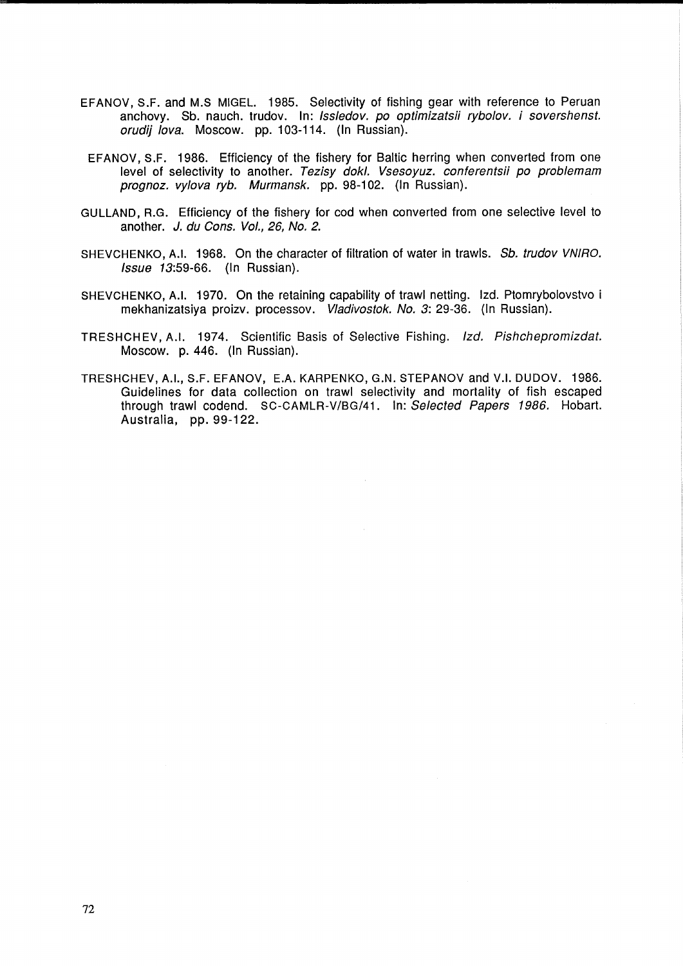- EFANOV, S.F. and M.S MIGEL. 1985. Selectivity of fishing gear with reference to Peruan anchovy. Sb. nauch. trudov. In: Issledov. po optimizatsii rybolov. i sovershenst. orudij lova. Moscow. pp. 103-114. (In Russian).
- EFANOV, S.F. 1986. Efficiency of the fishery for Baltic herring when converted from one level of selectivity to another. Tezisy dokl. Vsesoyuz. conferentsii po problemam prognoz. vylova ryb. Murmansk. pp. 98-102. (In Russian).
- GULLAND, R.G. Efficiency of the fishery for cod when converted from one selective level to another. J. du Cons. Vol., 26, No. 2.
- SHEVCHENKO, A.I. 1968. On the character of filtration of water in trawls. Sb. trudov VNIRO. Issue 13:59-66. (In Russian).
- SHEVCHENKO, A.I. 1970. On the retaining capability of trawl netting. Izd. Ptomrybolovstvo i mekhanizatsiya proizv. processov. Vladivostok. No. 3: 29-36. (In Russian).
- TRESHCH EV, A.1. 1974. Scientific Basis of Selective Fishing. Izd. Pishchepromizdat. Moscow. p. 446. (In Russian).
- TRESHCHEV, A.I., S.F. EFANOV, E.A. KARPENKO, G.N. STEPANOV and V.I. DUDOV. 1986. Guidelines for data collection on trawl selectivity and mortality of fish escaped through trawl codend. SC-CAMLR-V/8G/41. In: Selected Papers 1986. Hobart. Australia, pp. 99-122.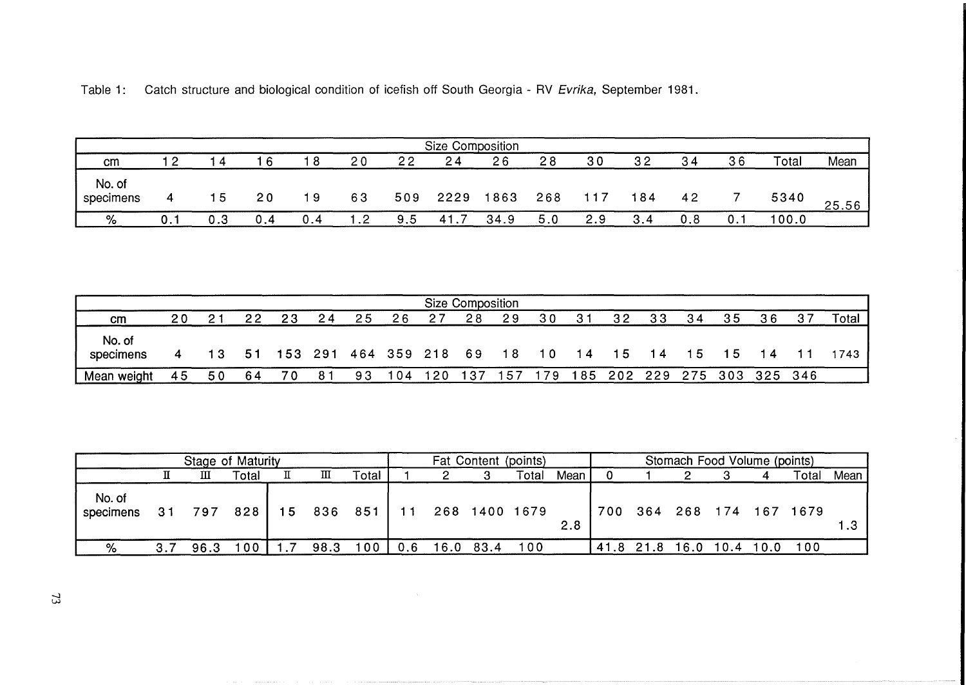|                     |     |    |     |     |     |     | Size Composition |      |     |     |                |     |     |       |       |
|---------------------|-----|----|-----|-----|-----|-----|------------------|------|-----|-----|----------------|-----|-----|-------|-------|
| cm                  | - 2 | -4 |     | -8  | 20  | 22  | 24               | 26   | 28  | 30  | 3 <sub>2</sub> | 34  | 36  | Total | Mean  |
| No. of<br>specimens |     | 15 | 20  | 19  | 63  | 509 | 2229             | 1863 | 268 |     | 184            | 42  |     | 5340  | 25.56 |
| %                   |     |    | 0.4 | 0.4 | . 2 | 9.5 | 41.7             | 34.9 | 5.0 | 2.9 | 3.4            | 0.8 | 0.1 | 100.0 |       |

Table 1: Catch structure and biological condition of icefish off South Georgia - RV Evrika, September 1981.

| <b>Size Composition</b> |    |    |    |    |    |                        |     |     |     |     |           |     |    |         |     |                 |    |        |
|-------------------------|----|----|----|----|----|------------------------|-----|-----|-----|-----|-----------|-----|----|---------|-----|-----------------|----|--------|
| cm                      | 20 |    | 22 | 23 | 24 | 25                     | 26  | 27  | 28  | 29  | 30        | 31  | 32 | 33      | 34  | 35              | 36 | Total  |
| No. of<br>specimens     | 4  | 13 | 51 |    |    | 153 291 464 359 218 69 |     |     |     | 18  | <b>10</b> | 14  | 15 | $-14$   | -15 | 15.             | 14 | 1743 1 |
| Mean weight             | 45 | 50 | 64 | 70 |    | 93                     | 104 | 120 | 137 | -57 | 179       | 185 |    | 202 229 |     | 275 303 325 346 |    |        |

|                     |     | Fat Content (points) | Stomach Food Volume (points) |   |              |                  |     |           |               |      |     |           |  |           |      |                  |      |
|---------------------|-----|----------------------|------------------------------|---|--------------|------------------|-----|-----------|---------------|------|-----|-----------|--|-----------|------|------------------|------|
|                     |     | ш                    | Total                        | п | Ш            | $\tau$ otal $\;$ |     |           | Total         | Mean |     |           |  |           |      | Totai            | Mean |
| No. of<br>specimens | 31  | 797                  | 828                          |   | $15$ 836 851 |                  | 11  |           | 268 1400 1679 | 2.8  | 700 | 364       |  |           |      | 268 174 167 1679 |      |
| %                   | 3.7 | 96.3                 | 00                           |   | 98.3         | 100              | 0.6 | 16.0 83.4 | 100           |      |     | 41.8 21.8 |  | 16.0 10.4 | 10.0 | 100              |      |

-...l W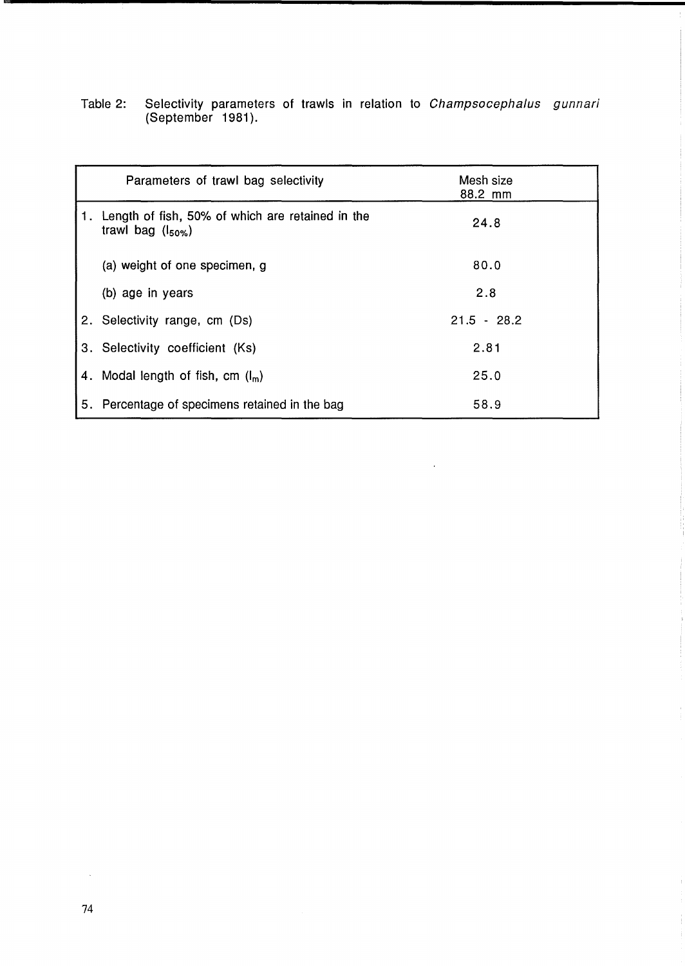|      | Parameters of trawl bag selectivity                                        | Mesh size<br>88.2 mm |
|------|----------------------------------------------------------------------------|----------------------|
| l 1. | Length of fish, 50% of which are retained in the<br>trawl bag $(l_{50\%})$ | 24.8                 |
|      | (a) weight of one specimen, g                                              | 80.0                 |
|      | (b) age in years                                                           | 2.8                  |
|      | 2. Selectivity range, cm (Ds)                                              | $21.5 - 28.2$        |
|      | 3. Selectivity coefficient (Ks)                                            | 2.81                 |
|      | 4. Modal length of fish, cm $(I_m)$                                        | 25.0                 |
| 5.   | Percentage of specimens retained in the bag                                | 58.9                 |

 $\sim 10^{-1}$ 

Table 2: Selectivity parameters of trawls in relation to Champsocephalus gunnari (September 1981).

 $\mathcal{A}^{\mathcal{A}}$